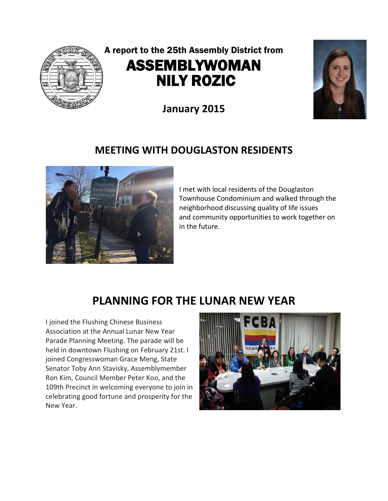

# A report to the 25th Assembly District from ASSEMBLYWOMAN NILY ROZIC

**January 2015**

#### **MEETING WITH DOUGLASTON RESIDENTS**



I met with local residents of the Douglaston Townhouse Condominium and walked through the neighborhood discussing quality of life issues and community opportunities to work together on in the future.

## **PLANNING FOR THE LUNAR NEW YEAR**

I joined the Flushing Chinese Business Association at the Annual Lunar New Year Parade Planning Meeting. The parade will be held in downtown Flushing on February 21st. I joined Congresswoman Grace Meng, State Senator Toby Ann Stavisky, Assemblymember Ron Kim, Council Member Peter Koo, and the 109th Precinct in welcoming everyone to join in celebrating good fortune and prosperity for the New Year.